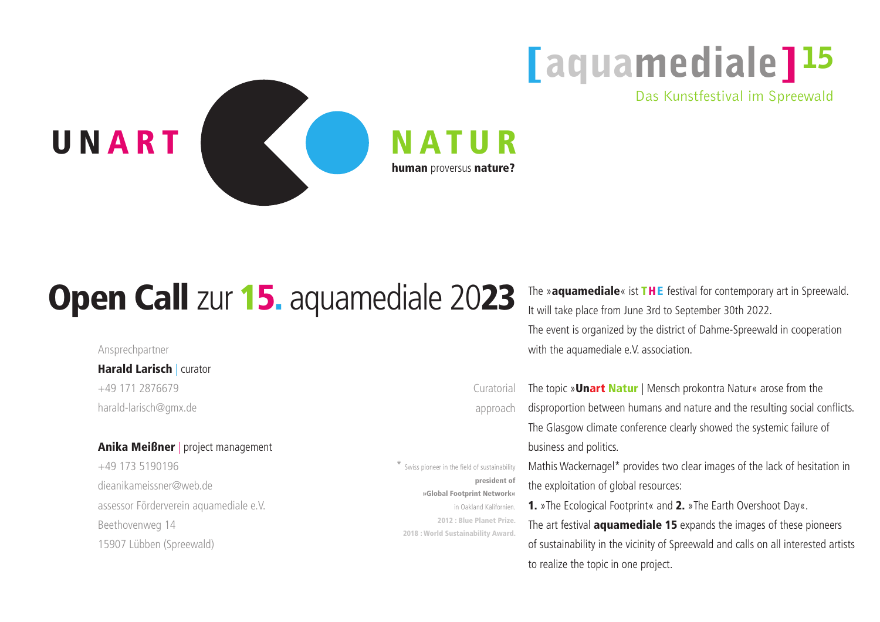The »aquamediale« ist THE festival for contemporary art in Spreewald. It will take place from June 3rd to September 30th 2022. The event is organized by the district of Dahme-Spreewald in cooperation with the aquamediale e.V. association.

The topic »Unart Natur | Mensch prokontra Natur« arose from the disproportion between humans and nature and the resulting social conflicts. The Glasgow climate conference clearly showed the systemic failure of business and politics. Mathis Wackernagel\* provides two clear images of the lack of hesitation in the exploitation of global resources: 1. »The Ecological Footprint« and 2. »The Earth Overshoot Day«. The art festival **aquamediale 15** expands the images of these pioneers of sustainability in the vicinity of Spreewald and calls on all interested artists to realize the topic in one project.

### **Harald Larisch | curator** +49 171 2876679 harald-larisch@gmx.de

### Anika Meißner | project management

## [aquamediale]<sup>15</sup> Das Kunstfestival im Spreewald

**Curatorial** approach

Ansprechpartner

+49 173 5190196 dieanikameissner@web.de assessor Förderverein aquamediale e.V. Beethovenweg 14 15907 Lübben (Spreewald)

\* Swiss pioneer in the field of sustainability president of »Global Footprint Network« in Oakland Kalifornien. 2012 : Blue Planet Prize. 2018 : World Sustainability Award.



# Open Call zur 15. aquamediale 2023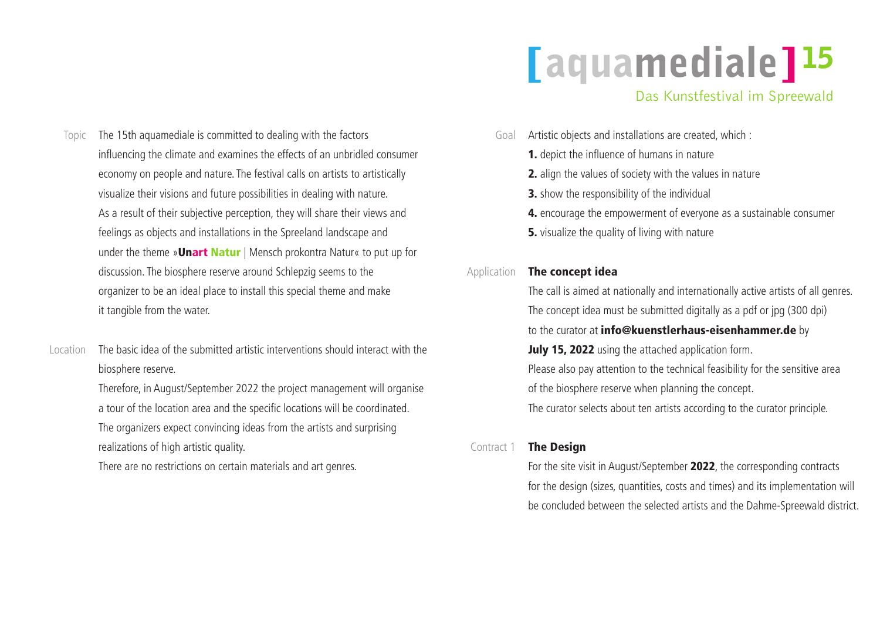### Topic The 15th aquamediale is committed to dealing with the factors influencing the climate and examines the effects of an unbridled consumer economy on people and nature. The festival calls on artists to artistically visualize their visions and future possibilities in dealing with nature. As a result of their subjective perception, they will share their views and feelings as objects and installations in the Spreeland landscape and under the theme »Unart Natur | Mensch prokontra Natur« to put up for discussion. The biosphere reserve around Schlepzig seems to the organizer to be an ideal place to install this special theme and make it tangible from the water.

- Artistic objects and installations are created, which : Goal
	- 1. depict the influence of humans in nature
	- 2. align the values of society with the values in nature
	- **3.** show the responsibility of the individual
	-
	- **5.** visualize the quality of living with nature

## [aquamediale]<sup>15</sup> Das Kunstfestival im Spreewald

4. encourage the empowerment of everyone as a sustainable consumer

The basic idea of the submitted artistic interventions should interact with the biosphere reserve. Therefore, in August/September 2022 the project management will organise a tour of the location area and the specific locations will be coordinated. The organizers expect convincing ideas from the artists and surprising realizations of high artistic quality. There are no restrictions on certain materials and art genres. Location

The call is aimed at nationally and internationally active artists of all genres. The concept idea must be submitted digitally as a pdf or jpg (300 dpi) to the curator at *info@kuenstlerhaus-eisenhammer.de* by July 15, 2022 using the attached application form. Please also pay attention to the technical feasibility for the sensitive area of the biosphere reserve when planning the concept. The curator selects about ten artists according to the curator principle.

#### The concept idea Application

The Design

For the site visit in August/September 2022, the corresponding contracts for the design (sizes, quantities, costs and times) and its implementation will be concluded between the selected artists and the Dahme-Spreewald district.

#### Contract 1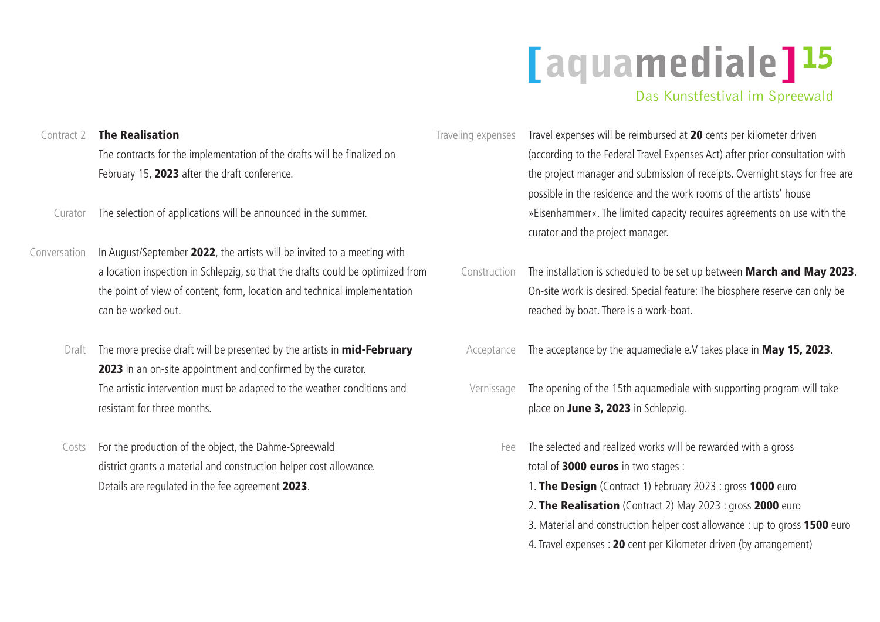| Contract 2   | <b>The Realisation</b>                                                         | Traveling expenses | Travel expenses will be reimbursed a   |
|--------------|--------------------------------------------------------------------------------|--------------------|----------------------------------------|
|              | The contracts for the implementation of the drafts will be finalized on        |                    | (according to the Federal Travel Expe  |
|              | February 15, 2023 after the draft conference.                                  |                    | the project manager and submission     |
|              |                                                                                |                    | possible in the residence and the wo   |
| Curator      | The selection of applications will be announced in the summer.                 |                    | » Eisenhammer«. The limited capacity   |
|              |                                                                                |                    | curator and the project manager.       |
| Conversation | In August/September 2022, the artists will be invited to a meeting with        |                    |                                        |
|              | a location inspection in Schlepzig, so that the drafts could be optimized from | Construction       | The installation is scheduled to be se |
|              | the point of view of content, form, location and technical implementation      |                    | On-site work is desired. Special featu |
|              | can be worked out.                                                             |                    | reached by boat. There is a work-boa   |
| Draft        | The more precise draft will be presented by the artists in <b>mid-February</b> | Acceptance         | The acceptance by the aquamediale      |
|              | 2023 in an on-site appointment and confirmed by the curator.                   |                    |                                        |
|              | The artistic intervention must be adapted to the weather conditions and        | Vernissage         | The opening of the 15th aquamedial     |
|              | resistant for three months.                                                    |                    | place on June 3, 2023 in Schlepzig     |
| Costs        | For the production of the object, the Dahme-Spreewald                          | Fee                | The selected and realized works will   |
|              | district grants a material and construction helper cost allowance.             |                    | total of 3000 euros in two stages :    |
|              | Details are regulated in the fee agreement 2023.                               |                    | 1. The Design (Contract 1) Februal     |
|              |                                                                                |                    | 2. The Realisation (Contract 2) M      |
|              |                                                                                |                    | 3. Material and construction helper o  |
|              |                                                                                |                    | 4. Travel expenses : 20 cent per Kilor |
|              |                                                                                |                    |                                        |

d at 20 cents per kilometer driven xpenses Act) after prior consultation with ion of receipts. Overnight stays for free are work rooms of the artists' house scity requires agreements on use with the

set up between March and May 2023. eature: The biosphere reserve can only be boat.

ale e.V takes place in May 15, 2023.

Iiale with supporting program will take pzig.

will be rewarded with a gross ruary 2023 : gross  $1000$  euros  $0.0223$  : gross 2000 euro er cost allowance : up to gross 1500 euro ilometer driven (by arrangement)

## [aquamediale]<sup>15</sup> Das Kunstfestival im Spreewald